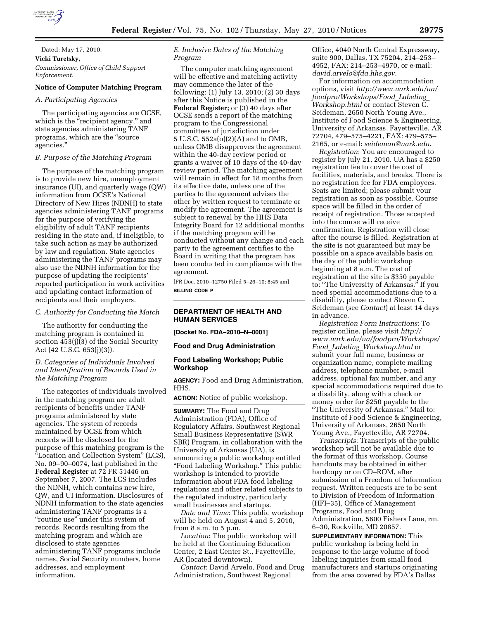

# Dated: May 17, 2010. **Vicki Turetsky,**  *Commissioner, Office of Child Support Enforcement.*

# **Notice of Computer Matching Program**

#### *A. Participating Agencies*

The participating agencies are OCSE, which is the "recipient agency," and state agencies administering TANF programs, which are the ''source agencies.''

# *B. Purpose of the Matching Program*

The purpose of the matching program is to provide new hire, unemployment insurance (UI), and quarterly wage (QW) information from OCSE's National Directory of New Hires (NDNH) to state agencies administering TANF programs for the purpose of verifying the eligibility of adult TANF recipients residing in the state and, if ineligible, to take such action as may be authorized by law and regulation. State agencies administering the TANF programs may also use the NDNH information for the purpose of updating the recipients' reported participation in work activities and updating contact information of recipients and their employers.

*C. Authority for Conducting the Match* 

The authority for conducting the matching program is contained in section 453(j)(3) of the Social Security Act (42 U.S.C. 653(j)(3)).

# *D. Categories of Individuals Involved and Identification of Records Used in the Matching Program*

The categories of individuals involved in the matching program are adult recipients of benefits under TANF programs administered by state agencies. The system of records maintained by OCSE from which records will be disclosed for the purpose of this matching program is the ''Location and Collection System'' (LCS), No. 09–90–0074, last published in the **Federal Register** at 72 FR 51446 on September 7, 2007. The LCS includes the NDNH, which contains new hire, QW, and UI information. Disclosures of NDNH information to the state agencies administering TANF programs is a ''routine use'' under this system of records. Records resulting from the matching program and which are disclosed to state agencies administering TANF programs include names, Social Security numbers, home addresses, and employment information.

# *E. Inclusive Dates of the Matching Program*

The computer matching agreement will be effective and matching activity may commence the later of the following: (1) July 13, 2010; (2) 30 days after this Notice is published in the **Federal Register;** or (3) 40 days after OCSE sends a report of the matching program to the Congressional committees of jurisdiction under 5 U.S.C. 552a(o)(2)(A) and to OMB, unless OMB disapproves the agreement within the 40-day review period or grants a waiver of 10 days of the 40-day review period. The matching agreement will remain in effect for 18 months from its effective date, unless one of the parties to the agreement advises the other by written request to terminate or modify the agreement. The agreement is subject to renewal by the HHS Data Integrity Board for 12 additional months if the matching program will be conducted without any change and each party to the agreement certifies to the Board in writing that the program has been conducted in compliance with the agreement.

[FR Doc. 2010–12750 Filed 5–26–10; 8:45 am] **BILLING CODE P** 

# **DEPARTMENT OF HEALTH AND HUMAN SERVICES**

**[Docket No. FDA–2010–N–0001]** 

**Food and Drug Administration** 

### **Food Labeling Workshop; Public Workshop**

**AGENCY:** Food and Drug Administration, HHS.

**ACTION:** Notice of public workshop.

**SUMMARY:** The Food and Drug Administration (FDA), Office of Regulatory Affairs, Southwest Regional Small Business Representative (SWR SBR) Program, in collaboration with the University of Arkansas (UA), is announcing a public workshop entitled ''Food Labeling Workshop.'' This public workshop is intended to provide information about FDA food labeling regulations and other related subjects to the regulated industry, particularly small businesses and startups.

*Date and Time*: This public workshop will be held on August 4 and 5, 2010, from 8 a.m. to 5 p.m.

*Location*: The public workshop will be held at the Continuing Education Center, 2 East Center St., Fayetteville, AR (located downtown).

*Contact*: David Arvelo, Food and Drug Administration, Southwest Regional

Office, 4040 North Central Expressway, suite 900, Dallas, TX 75204, 214–253– 4952, FAX: 214–253–4970, or e-mail: *david.arvelo@fda.hhs.gov*.

For information on accommodation options, visit *http://www.uark.edu/ua/ foodpro/Workshops/Food*\_*Labeling*\_ *Workshop.html* or contact Steven C. Seideman, 2650 North Young Ave., Institute of Food Science & Engineering, University of Arkansas, Fayetteville, AR 72704, 479–575–4221, FAX: 479–575– 2165, or e-mail: *seideman@uark.edu*.

*Registration*: You are encouraged to register by July 21, 2010. UA has a \$250 registration fee to cover the cost of facilities, materials, and breaks. There is no registration fee for FDA employees. Seats are limited; please submit your registration as soon as possible. Course space will be filled in the order of receipt of registration. Those accepted into the course will receive confirmation. Registration will close after the course is filled. Registration at the site is not guaranteed but may be possible on a space available basis on the day of the public workshop beginning at 8 a.m. The cost of registration at the site is \$350 payable to: ''The University of Arkansas.'' If you need special accommodations due to a disability, please contact Steven C. Seideman (see *Contact*) at least 14 days in advance.

*Registration Form Instructions*: To register online, please visit *http:// www.uark.edu/ua/foodpro/Workshops/ Food*\_*Labeling*\_*Workshop.html* or submit your full name, business or organization name, complete mailing address, telephone number, e-mail address, optional fax number, and any special accommodations required due to a disability, along with a check or money order for \$250 payable to the ''The University of Arkansas.'' Mail to: Institute of Food Science & Engineering, University of Arkansas, 2650 North Young Ave., Fayetteville, AR 72704.

*Transcripts*: Transcripts of the public workshop will not be available due to the format of this workshop. Course handouts may be obtained in either hardcopy or on CD–ROM, after submission of a Freedom of Information request. Written requests are to be sent to Division of Freedom of Information (HFI–35), Office of Management Programs, Food and Drug Administration, 5600 Fishers Lane, rm. 6–30, Rockville, MD 20857.

**SUPPLEMENTARY INFORMATION:** This public workshop is being held in response to the large volume of food labeling inquiries from small food manufacturers and startups originating from the area covered by FDA's Dallas